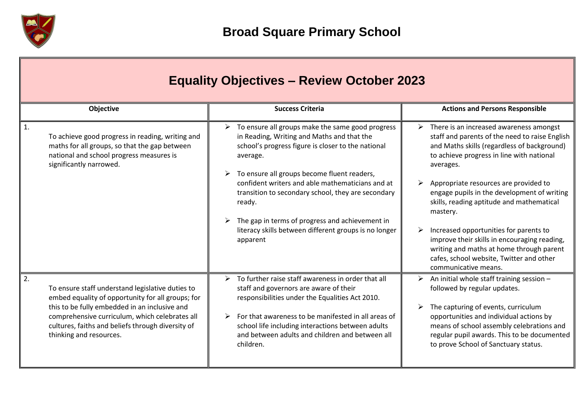

| <b>Equality Objectives - Review October 2023</b>                                                                                                                                                                                                                                               |                                                                                                                                                                                                                                                                                                                                                                                                                                                                              |                                                                                                                                                                                                                                                                                                                                                                                                                                                                                                                                                                                |  |
|------------------------------------------------------------------------------------------------------------------------------------------------------------------------------------------------------------------------------------------------------------------------------------------------|------------------------------------------------------------------------------------------------------------------------------------------------------------------------------------------------------------------------------------------------------------------------------------------------------------------------------------------------------------------------------------------------------------------------------------------------------------------------------|--------------------------------------------------------------------------------------------------------------------------------------------------------------------------------------------------------------------------------------------------------------------------------------------------------------------------------------------------------------------------------------------------------------------------------------------------------------------------------------------------------------------------------------------------------------------------------|--|
| Objective                                                                                                                                                                                                                                                                                      | <b>Success Criteria</b>                                                                                                                                                                                                                                                                                                                                                                                                                                                      | <b>Actions and Persons Responsible</b>                                                                                                                                                                                                                                                                                                                                                                                                                                                                                                                                         |  |
| 1.<br>To achieve good progress in reading, writing and<br>maths for all groups, so that the gap between<br>national and school progress measures is<br>significantly narrowed.                                                                                                                 | $\triangleright$ To ensure all groups make the same good progress<br>in Reading, Writing and Maths and that the<br>school's progress figure is closer to the national<br>average.<br>To ensure all groups become fluent readers,<br>confident writers and able mathematicians and at<br>transition to secondary school, they are secondary<br>ready.<br>The gap in terms of progress and achievement in<br>literacy skills between different groups is no longer<br>apparent | $\triangleright$ There is an increased awareness amongst<br>staff and parents of the need to raise English<br>and Maths skills (regardless of background)<br>to achieve progress in line with national<br>averages.<br>Appropriate resources are provided to<br>engage pupils in the development of writing<br>skills, reading aptitude and mathematical<br>mastery.<br>Increased opportunities for parents to<br>improve their skills in encouraging reading,<br>writing and maths at home through parent<br>cafes, school website, Twitter and other<br>communicative means. |  |
| 2.<br>To ensure staff understand legislative duties to<br>embed equality of opportunity for all groups; for<br>this to be fully embedded in an inclusive and<br>comprehensive curriculum, which celebrates all<br>cultures, faiths and beliefs through diversity of<br>thinking and resources. | To further raise staff awareness in order that all<br>➤<br>staff and governors are aware of their<br>responsibilities under the Equalities Act 2010.<br>For that awareness to be manifested in all areas of<br>school life including interactions between adults<br>and between adults and children and between all<br>children.                                                                                                                                             | $\triangleright$ An initial whole staff training session -<br>followed by regular updates.<br>The capturing of events, curriculum<br>opportunities and individual actions by<br>means of school assembly celebrations and<br>regular pupil awards. This to be documented<br>to prove School of Sanctuary status.                                                                                                                                                                                                                                                               |  |